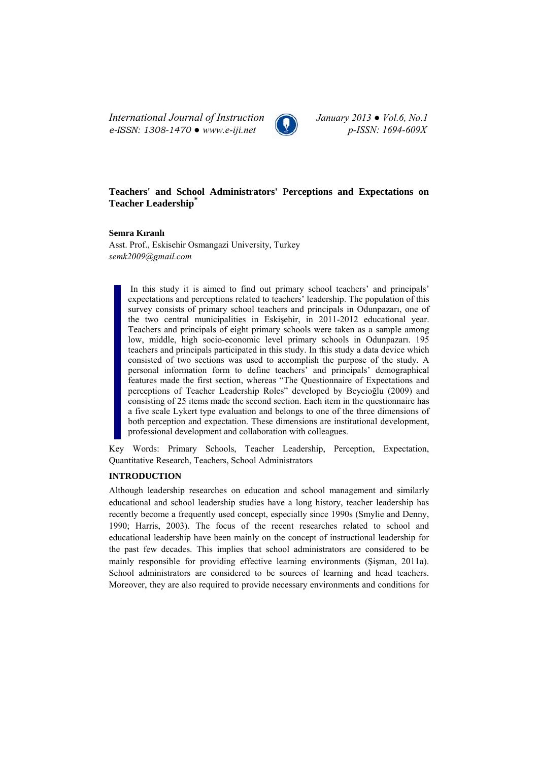*International Journal of Instruction January 2013 ● Vol.6, No.1 e-ISSN: 1308-1470 ● www.e-iji.net p-ISSN: 1694-609X*



# **Teachers' and School Administrators' Perceptions and Expectations on Teacher Leadership\***

### **Semra Kıranlı**

Asst. Prof., Eskisehir Osmangazi University, Turkey *semk2009@gmail.com*

In this study it is aimed to find out primary school teachers' and principals' expectations and perceptions related to teachers' leadership. The population of this survey consists of primary school teachers and principals in Odunpazarı, one of the two central municipalities in Eskişehir, in 2011-2012 educational year. Teachers and principals of eight primary schools were taken as a sample among low, middle, high socio-economic level primary schools in Odunpazarı. 195 teachers and principals participated in this study. In this study a data device which consisted of two sections was used to accomplish the purpose of the study. A personal information form to define teachers' and principals' demographical features made the first section, whereas "The Questionnaire of Expectations and perceptions of Teacher Leadership Roles" developed by Beycioğlu (2009) and consisting of 25 items made the second section. Each item in the questionnaire has a five scale Lykert type evaluation and belongs to one of the three dimensions of both perception and expectation. These dimensions are institutional development, professional development and collaboration with colleagues.

Key Words: Primary Schools, Teacher Leadership, Perception, Expectation, Quantitative Research, Teachers, School Administrators

## **INTRODUCTION**

Although leadership researches on education and school management and similarly educational and school leadership studies have a long history, teacher leadership has recently become a frequently used concept, especially since 1990s (Smylie and Denny, 1990; Harris, 2003). The focus of the recent researches related to school and educational leadership have been mainly on the concept of instructional leadership for the past few decades. This implies that school administrators are considered to be mainly responsible for providing effective learning environments (Şişman, 2011a). School administrators are considered to be sources of learning and head teachers. Moreover, they are also required to provide necessary environments and conditions for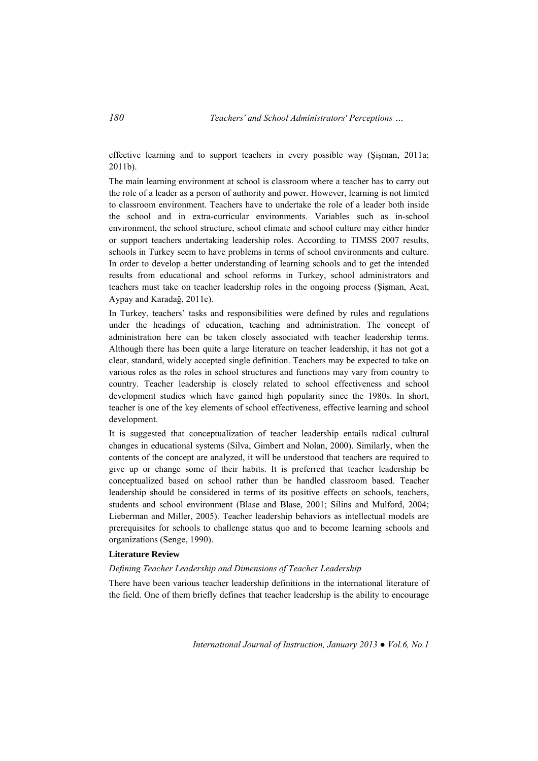effective learning and to support teachers in every possible way (Şişman, 2011a; 2011b).

The main learning environment at school is classroom where a teacher has to carry out the role of a leader as a person of authority and power. However, learning is not limited to classroom environment. Teachers have to undertake the role of a leader both inside the school and in extra-curricular environments. Variables such as in-school environment, the school structure, school climate and school culture may either hinder or support teachers undertaking leadership roles. According to TIMSS 2007 results, schools in Turkey seem to have problems in terms of school environments and culture. In order to develop a better understanding of learning schools and to get the intended results from educational and school reforms in Turkey, school administrators and teachers must take on teacher leadership roles in the ongoing process (Şişman, Acat, Aypay and Karadağ, 2011c).

In Turkey, teachers' tasks and responsibilities were defined by rules and regulations under the headings of education, teaching and administration. The concept of administration here can be taken closely associated with teacher leadership terms. Although there has been quite a large literature on teacher leadership, it has not got a clear, standard, widely accepted single definition. Teachers may be expected to take on various roles as the roles in school structures and functions may vary from country to country. Teacher leadership is closely related to school effectiveness and school development studies which have gained high popularity since the 1980s. In short, teacher is one of the key elements of school effectiveness, effective learning and school development.

It is suggested that conceptualization of teacher leadership entails radical cultural changes in educational systems (Silva, Gimbert and Nolan, 2000). Similarly, when the contents of the concept are analyzed, it will be understood that teachers are required to give up or change some of their habits. It is preferred that teacher leadership be conceptualized based on school rather than be handled classroom based. Teacher leadership should be considered in terms of its positive effects on schools, teachers, students and school environment (Blase and Blase, 2001; Silins and Mulford, 2004; Lieberman and Miller, 2005). Teacher leadership behaviors as intellectual models are prerequisites for schools to challenge status quo and to become learning schools and organizations (Senge, 1990).

## **Literature Review**

#### *Defining Teacher Leadership and Dimensions of Teacher Leadership*

There have been various teacher leadership definitions in the international literature of the field. One of them briefly defines that teacher leadership is the ability to encourage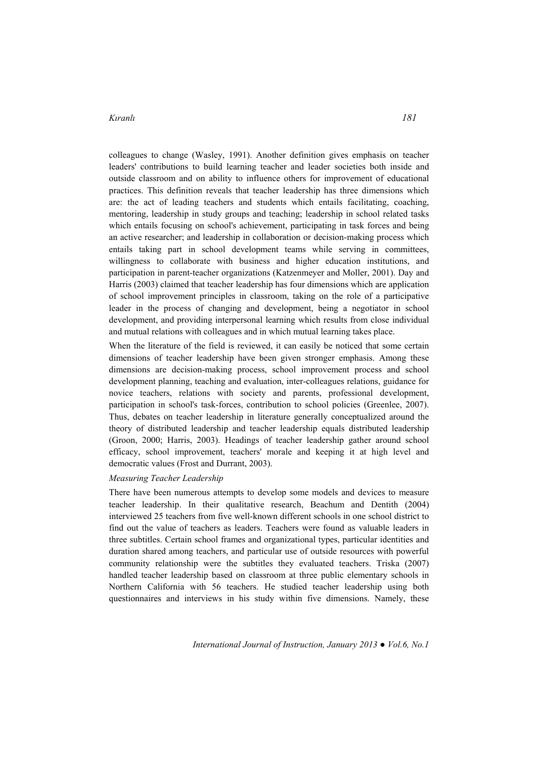colleagues to change (Wasley, 1991). Another definition gives emphasis on teacher leaders' contributions to build learning teacher and leader societies both inside and outside classroom and on ability to influence others for improvement of educational practices. This definition reveals that teacher leadership has three dimensions which are: the act of leading teachers and students which entails facilitating, coaching, mentoring, leadership in study groups and teaching; leadership in school related tasks which entails focusing on school's achievement, participating in task forces and being an active researcher; and leadership in collaboration or decision-making process which entails taking part in school development teams while serving in committees, willingness to collaborate with business and higher education institutions, and participation in parent-teacher organizations (Katzenmeyer and Moller, 2001). Day and Harris (2003) claimed that teacher leadership has four dimensions which are application of school improvement principles in classroom, taking on the role of a participative leader in the process of changing and development, being a negotiator in school development, and providing interpersonal learning which results from close individual and mutual relations with colleagues and in which mutual learning takes place.

When the literature of the field is reviewed, it can easily be noticed that some certain dimensions of teacher leadership have been given stronger emphasis. Among these dimensions are decision-making process, school improvement process and school development planning, teaching and evaluation, inter-colleagues relations, guidance for novice teachers, relations with society and parents, professional development, participation in school's task-forces, contribution to school policies (Greenlee, 2007). Thus, debates on teacher leadership in literature generally conceptualized around the theory of distributed leadership and teacher leadership equals distributed leadership (Groon, 2000; Harris, 2003). Headings of teacher leadership gather around school efficacy, school improvement, teachers' morale and keeping it at high level and democratic values (Frost and Durrant, 2003).

#### *Measuring Teacher Leadership*

There have been numerous attempts to develop some models and devices to measure teacher leadership. In their qualitative research, Beachum and Dentith (2004) interviewed 25 teachers from five well-known different schools in one school district to find out the value of teachers as leaders. Teachers were found as valuable leaders in three subtitles. Certain school frames and organizational types, particular identities and duration shared among teachers, and particular use of outside resources with powerful community relationship were the subtitles they evaluated teachers. Triska (2007) handled teacher leadership based on classroom at three public elementary schools in Northern California with 56 teachers. He studied teacher leadership using both questionnaires and interviews in his study within five dimensions. Namely, these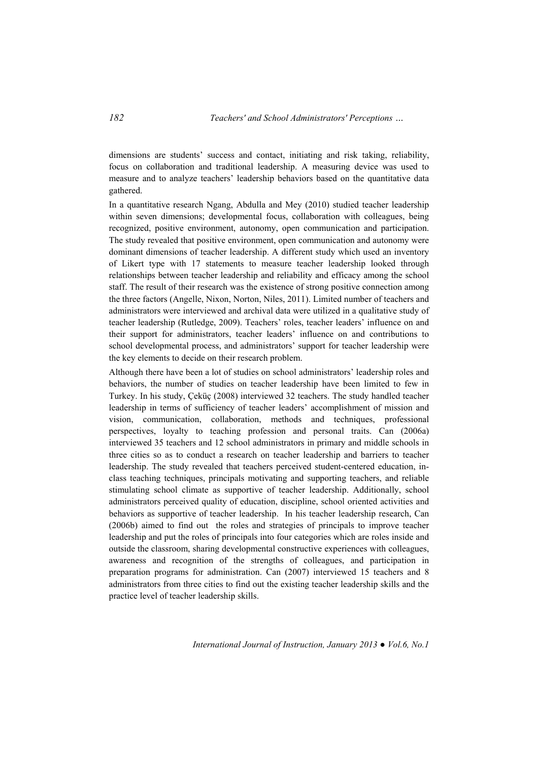dimensions are students' success and contact, initiating and risk taking, reliability, focus on collaboration and traditional leadership. A measuring device was used to measure and to analyze teachers' leadership behaviors based on the quantitative data gathered.

In a quantitative research Ngang, Abdulla and Mey (2010) studied teacher leadership within seven dimensions; developmental focus, collaboration with colleagues, being recognized, positive environment, autonomy, open communication and participation. The study revealed that positive environment, open communication and autonomy were dominant dimensions of teacher leadership. A different study which used an inventory of Likert type with 17 statements to measure teacher leadership looked through relationships between teacher leadership and reliability and efficacy among the school staff. The result of their research was the existence of strong positive connection among the three factors (Angelle, Nixon, Norton, Niles, 2011). Limited number of teachers and administrators were interviewed and archival data were utilized in a qualitative study of teacher leadership (Rutledge, 2009). Teachers' roles, teacher leaders' influence on and their support for administrators, teacher leaders' influence on and contributions to school developmental process, and administrators' support for teacher leadership were the key elements to decide on their research problem.

Although there have been a lot of studies on school administrators' leadership roles and behaviors, the number of studies on teacher leadership have been limited to few in Turkey. In his study, Çeküç (2008) interviewed 32 teachers. The study handled teacher leadership in terms of sufficiency of teacher leaders' accomplishment of mission and vision, communication, collaboration, methods and techniques, professional perspectives, loyalty to teaching profession and personal traits. Can (2006a) interviewed 35 teachers and 12 school administrators in primary and middle schools in three cities so as to conduct a research on teacher leadership and barriers to teacher leadership. The study revealed that teachers perceived student-centered education, inclass teaching techniques, principals motivating and supporting teachers, and reliable stimulating school climate as supportive of teacher leadership. Additionally, school administrators perceived quality of education, discipline, school oriented activities and behaviors as supportive of teacher leadership. In his teacher leadership research, Can (2006b) aimed to find out the roles and strategies of principals to improve teacher leadership and put the roles of principals into four categories which are roles inside and outside the classroom, sharing developmental constructive experiences with colleagues, awareness and recognition of the strengths of colleagues, and participation in preparation programs for administration. Can (2007) interviewed 15 teachers and 8 administrators from three cities to find out the existing teacher leadership skills and the practice level of teacher leadership skills.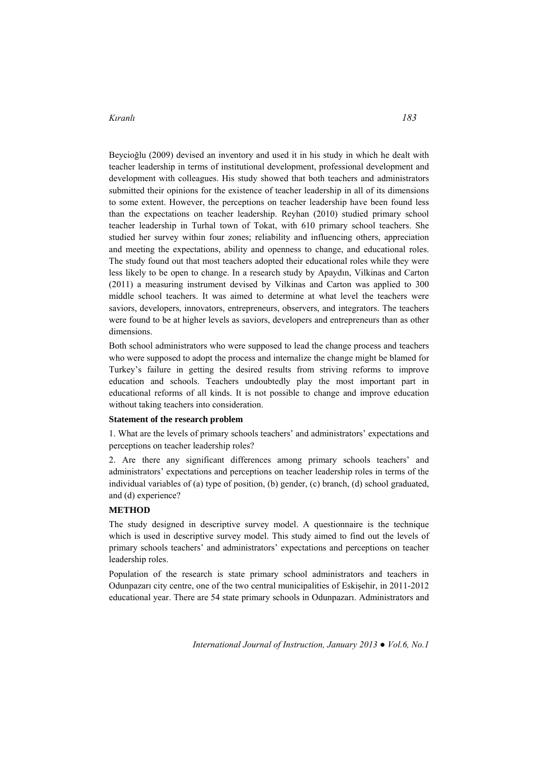Beycioğlu (2009) devised an inventory and used it in his study in which he dealt with teacher leadership in terms of institutional development, professional development and development with colleagues. His study showed that both teachers and administrators submitted their opinions for the existence of teacher leadership in all of its dimensions to some extent. However, the perceptions on teacher leadership have been found less than the expectations on teacher leadership. Reyhan (2010) studied primary school teacher leadership in Turhal town of Tokat, with 610 primary school teachers. She studied her survey within four zones; reliability and influencing others, appreciation and meeting the expectations, ability and openness to change, and educational roles. The study found out that most teachers adopted their educational roles while they were less likely to be open to change. In a research study by Apaydın, Vilkinas and Carton (2011) a measuring instrument devised by Vilkinas and Carton was applied to 300 middle school teachers. It was aimed to determine at what level the teachers were saviors, developers, innovators, entrepreneurs, observers, and integrators. The teachers were found to be at higher levels as saviors, developers and entrepreneurs than as other dimensions.

Both school administrators who were supposed to lead the change process and teachers who were supposed to adopt the process and internalize the change might be blamed for Turkey's failure in getting the desired results from striving reforms to improve education and schools. Teachers undoubtedly play the most important part in educational reforms of all kinds. It is not possible to change and improve education without taking teachers into consideration.

#### **Statement of the research problem**

1. What are the levels of primary schools teachers' and administrators' expectations and perceptions on teacher leadership roles?

2. Are there any significant differences among primary schools teachers' and administrators' expectations and perceptions on teacher leadership roles in terms of the individual variables of (a) type of position, (b) gender, (c) branch, (d) school graduated, and (d) experience?

#### **METHOD**

The study designed in descriptive survey model. A questionnaire is the technique which is used in descriptive survey model. This study aimed to find out the levels of primary schools teachers' and administrators' expectations and perceptions on teacher leadership roles.

Population of the research is state primary school administrators and teachers in Odunpazarı city centre, one of the two central municipalities of Eskişehir, in 2011-2012 educational year. There are 54 state primary schools in Odunpazarı. Administrators and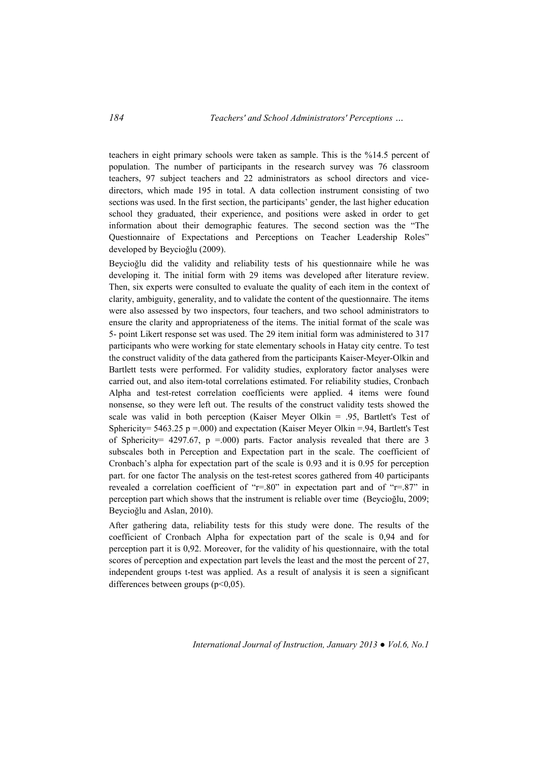teachers in eight primary schools were taken as sample. This is the %14.5 percent of population. The number of participants in the research survey was 76 classroom teachers, 97 subject teachers and 22 administrators as school directors and vicedirectors, which made 195 in total. A data collection instrument consisting of two sections was used. In the first section, the participants' gender, the last higher education school they graduated, their experience, and positions were asked in order to get information about their demographic features. The second section was the "The Questionnaire of Expectations and Perceptions on Teacher Leadership Roles" developed by Beycioğlu (2009).

Beycioğlu did the validity and reliability tests of his questionnaire while he was developing it. The initial form with 29 items was developed after literature review. Then, six experts were consulted to evaluate the quality of each item in the context of clarity, ambiguity, generality, and to validate the content of the questionnaire. The items were also assessed by two inspectors, four teachers, and two school administrators to ensure the clarity and appropriateness of the items. The initial format of the scale was 5- point Likert response set was used. The 29 item initial form was administered to 317 participants who were working for state elementary schools in Hatay city centre. To test the construct validity of the data gathered from the participants Kaiser-Meyer-Olkin and Bartlett tests were performed. For validity studies, exploratory factor analyses were carried out, and also item-total correlations estimated. For reliability studies, Cronbach Alpha and test-retest correlation coefficients were applied. 4 items were found nonsense, so they were left out. The results of the construct validity tests showed the scale was valid in both perception (Kaiser Meyer Olkin = .95, Bartlett's Test of Sphericity=  $5463.25$  p = 000) and expectation (Kaiser Meyer Olkin = 94, Bartlett's Test of Sphericity= 4297.67,  $p = .000$ ) parts. Factor analysis revealed that there are 3 subscales both in Perception and Expectation part in the scale. The coefficient of Cronbach's alpha for expectation part of the scale is 0.93 and it is 0.95 for perception part. for one factor The analysis on the test-retest scores gathered from 40 participants revealed a correlation coefficient of "r=.80" in expectation part and of "r=.87" in perception part which shows that the instrument is reliable over time (Beycioğlu, 2009; Beycioğlu and Aslan, 2010).

After gathering data, reliability tests for this study were done. The results of the coefficient of Cronbach Alpha for expectation part of the scale is 0,94 and for perception part it is 0,92. Moreover, for the validity of his questionnaire, with the total scores of perception and expectation part levels the least and the most the percent of 27, independent groups t-test was applied. As a result of analysis it is seen a significant differences between groups  $(p<0.05)$ .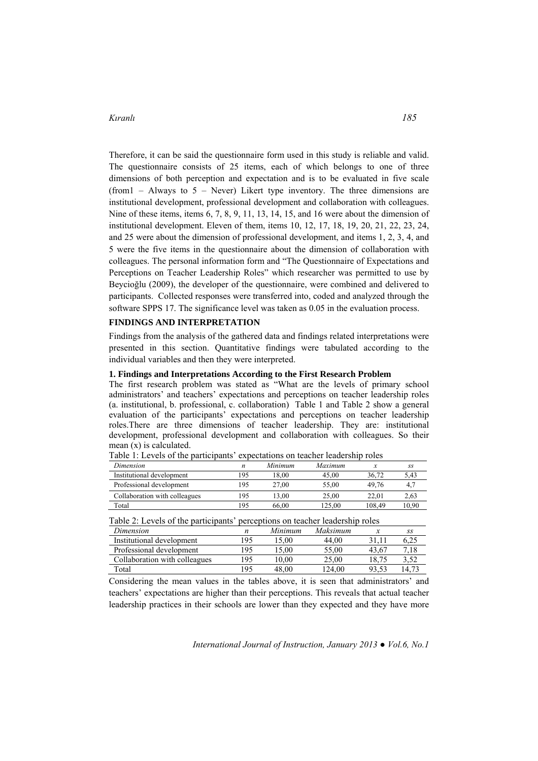Therefore, it can be said the questionnaire form used in this study is reliable and valid. The questionnaire consists of 25 items, each of which belongs to one of three dimensions of both perception and expectation and is to be evaluated in five scale (from  $1 -$  Always to  $5 -$  Never) Likert type inventory. The three dimensions are institutional development, professional development and collaboration with colleagues. Nine of these items, items 6, 7, 8, 9, 11, 13, 14, 15, and 16 were about the dimension of institutional development. Eleven of them, items 10, 12, 17, 18, 19, 20, 21, 22, 23, 24, and 25 were about the dimension of professional development, and items 1, 2, 3, 4, and 5 were the five items in the questionnaire about the dimension of collaboration with colleagues. The personal information form and "The Questionnaire of Expectations and Perceptions on Teacher Leadership Roles" which researcher was permitted to use by Beycioğlu (2009), the developer of the questionnaire, were combined and delivered to participants. Collected responses were transferred into, coded and analyzed through the software SPPS 17. The significance level was taken as 0.05 in the evaluation process.

#### **FINDINGS AND INTERPRETATION**

Findings from the analysis of the gathered data and findings related interpretations were presented in this section. Quantitative findings were tabulated according to the individual variables and then they were interpreted.

#### **1. Findings and Interpretations According to the First Research Problem**

The first research problem was stated as "What are the levels of primary school administrators' and teachers' expectations and perceptions on teacher leadership roles (a. institutional, b. professional, c. collaboration) Table 1 and Table 2 show a general evaluation of the participants' expectations and perceptions on teacher leadership roles.There are three dimensions of teacher leadership. They are: institutional development, professional development and collaboration with colleagues. So their mean (x) is calculated.

| Dimension                     | n   | Minimum | Maximum |        | SS    |
|-------------------------------|-----|---------|---------|--------|-------|
| Institutional development     | 195 | 18.00   | 45.00   | 36.72  | 5.43  |
| Professional development      | 195 | 27.00   | 55.00   | 49.76  |       |
| Collaboration with colleagues | 195 | 13.00   | 25.00   | 22.01  | 2.63  |
| Total                         | 195 | 66.00   | 125.00  | 108.49 | 10.90 |

Table 1: Levels of the participants' expectations on teacher leadership roles

Table 2: Levels of the participants' perceptions on teacher leadership roles

| Dimension                     | n   | Minimum | Maksimum |       | SS    |
|-------------------------------|-----|---------|----------|-------|-------|
| Institutional development     | 195 | 15.00   | 44.00    | 31.1  | 6.25  |
| Professional development      | 195 | .5.00   | 55.00    | 43.67 | 7.18  |
| Collaboration with colleagues | 195 | 10.00   | 25.00    | 18.75 |       |
| Total                         | 195 | 48.00   | 124.00   | 93.53 | 14.73 |

Considering the mean values in the tables above, it is seen that administrators' and teachers' expectations are higher than their perceptions. This reveals that actual teacher leadership practices in their schools are lower than they expected and they have more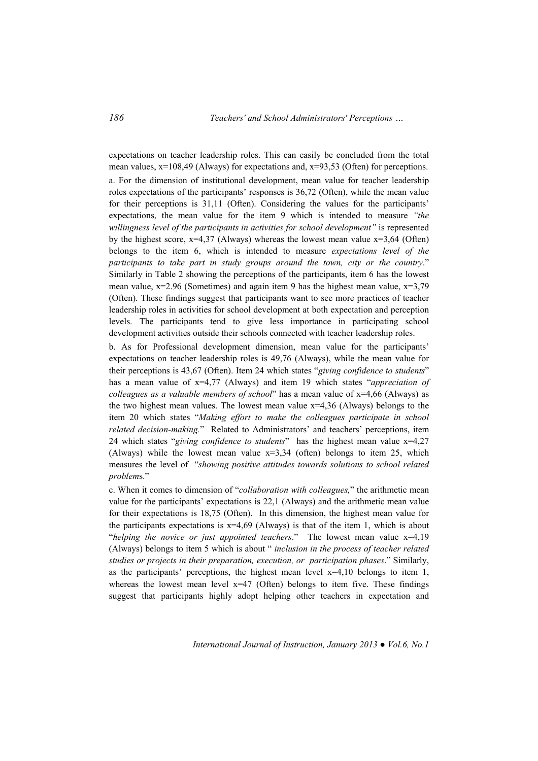expectations on teacher leadership roles. This can easily be concluded from the total mean values,  $x=108,49$  (Always) for expectations and,  $x=93,53$  (Often) for perceptions. a. For the dimension of institutional development, mean value for teacher leadership roles expectations of the participants' responses is 36,72 (Often), while the mean value for their perceptions is 31,11 (Often). Considering the values for the participants' expectations, the mean value for the item 9 which is intended to measure *"the willingness level of the participants in activities for school development"* is represented by the highest score,  $x=4,37$  (Always) whereas the lowest mean value  $x=3,64$  (Often) belongs to the item 6, which is intended to measure *expectations level of the participants to take part in study groups around the town, city or the country*." Similarly in Table 2 showing the perceptions of the participants, item 6 has the lowest mean value,  $x=2.96$  (Sometimes) and again item 9 has the highest mean value,  $x=3.79$ (Often). These findings suggest that participants want to see more practices of teacher leadership roles in activities for school development at both expectation and perception levels. The participants tend to give less importance in participating school development activities outside their schools connected with teacher leadership roles.

b. As for Professional development dimension, mean value for the participants' expectations on teacher leadership roles is 49,76 (Always), while the mean value for their perceptions is 43,67 (Often). Item 24 which states "*giving confidence to students*" has a mean value of x=4,77 (Always) and item 19 which states "*appreciation of colleagues as a valuable members of school*" has a mean value of x=4,66 (Always) as the two highest mean values. The lowest mean value  $x=4.36$  (Always) belongs to the item 20 which states "*Making effort to make the colleagues participate in school related decision-making.*" Related to Administrators' and teachers' perceptions, item 24 which states "*giving confidence to students*" has the highest mean value x=4,27 (Always) while the lowest mean value x=3,34 (often) belongs to item 25, which measures the level of "*showing positive attitudes towards solutions to school related problem*s."

c. When it comes to dimension of "*collaboration with colleagues,*" the arithmetic mean value for the participants' expectations is 22,1 (Always) and the arithmetic mean value for their expectations is 18,75 (Often). In this dimension, the highest mean value for the participants expectations is  $x=4.69$  (Always) is that of the item 1, which is about "*helping the novice or just appointed teachers*." The lowest mean value x=4,19 (Always) belongs to item 5 which is about " *inclusion in the process of teacher related studies or projects in their preparation, execution, or participation phases*." Similarly, as the participants' perceptions, the highest mean level x=4,10 belongs to item 1, whereas the lowest mean level  $x=47$  (Often) belongs to item five. These findings suggest that participants highly adopt helping other teachers in expectation and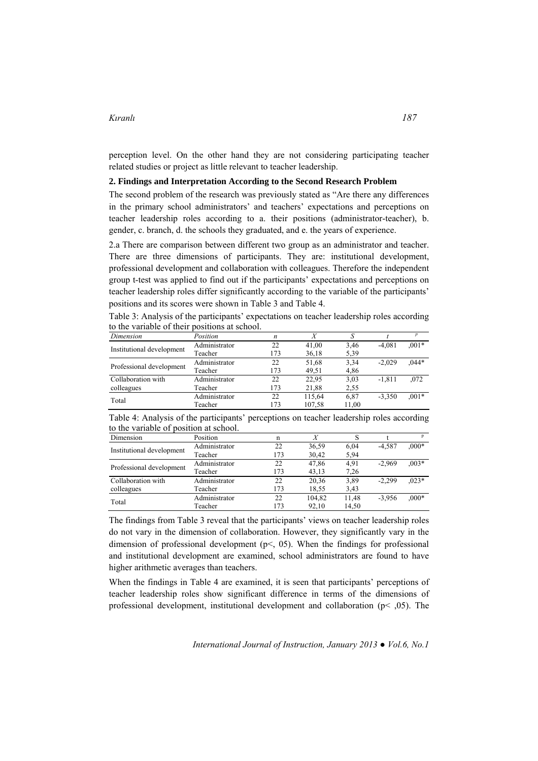perception level. On the other hand they are not considering participating teacher related studies or project as little relevant to teacher leadership.

#### **2. Findings and Interpretation According to the Second Research Problem**

The second problem of the research was previously stated as "Are there any differences in the primary school administrators' and teachers' expectations and perceptions on teacher leadership roles according to a. their positions (administrator-teacher), b. gender, c. branch, d. the schools they graduated, and e. the years of experience.

2.a There are comparison between different two group as an administrator and teacher. There are three dimensions of participants. They are: institutional development, professional development and collaboration with colleagues. Therefore the independent group t-test was applied to find out if the participants' expectations and perceptions on teacher leadership roles differ significantly according to the variable of the participants' positions and its scores were shown in Table 3 and Table 4.

Table 3: Analysis of the participants' expectations on teacher leadership roles according to the variable of their positions at school.

| Dimension                 | Position      | $\boldsymbol{n}$ |        |       |          | $\overline{p}$ |
|---------------------------|---------------|------------------|--------|-------|----------|----------------|
| Institutional development | Administrator | 22               | 41,00  | 3.46  | $-4.081$ | $0.01*$        |
|                           | Teacher       | 173              | 36,18  | 5,39  |          |                |
|                           | Administrator | 22               | 51,68  | 3.34  | $-2.029$ | $0.44*$        |
| Professional development  | Teacher       | 173              | 49,51  | 4,86  |          |                |
| Collaboration with        | Administrator | 22               | 22,95  | 3,03  | $-1.811$ | ,072           |
| colleagues                | Teacher       | 173              | 21,88  | 2.55  |          |                |
|                           | Administrator | 22               | 115,64 | 6,87  | $-3.350$ | $0.01*$        |
| Total                     | Teacher       | 173              | 107,58 | 11.00 |          |                |

Table 4: Analysis of the participants' perceptions on teacher leadership roles according to the variable of position at school.

| Dimension                 | Position      | n   | Χ      |       |          |          |
|---------------------------|---------------|-----|--------|-------|----------|----------|
| Institutional development | Administrator | 22  | 36,59  | 6.04  | $-4.587$ | $.000*$  |
|                           | Teacher       | 173 | 30,42  | 5,94  |          |          |
|                           | Administrator | 22  | 47,86  | 4.91  | $-2.969$ | $0.003*$ |
| Professional development  | Teacher       | 173 | 43,13  | 7.26  |          |          |
| Collaboration with        | Administrator | 22  | 20,36  | 3.89  | $-2.299$ | $0.023*$ |
| colleagues                | Teacher       | 173 | 18.55  | 3,43  |          |          |
|                           | Administrator | 22  | 104.82 | 11.48 | $-3.956$ | $000*$   |
| Total                     | Teacher       | 173 | 92,10  | 14,50 |          |          |

The findings from Table 3 reveal that the participants' views on teacher leadership roles do not vary in the dimension of collaboration. However, they significantly vary in the dimension of professional development (p<, 05). When the findings for professional and institutional development are examined, school administrators are found to have higher arithmetic averages than teachers.

When the findings in Table 4 are examined, it is seen that participants' perceptions of teacher leadership roles show significant difference in terms of the dimensions of professional development, institutional development and collaboration ( $p$ <  $(0,05)$ ). The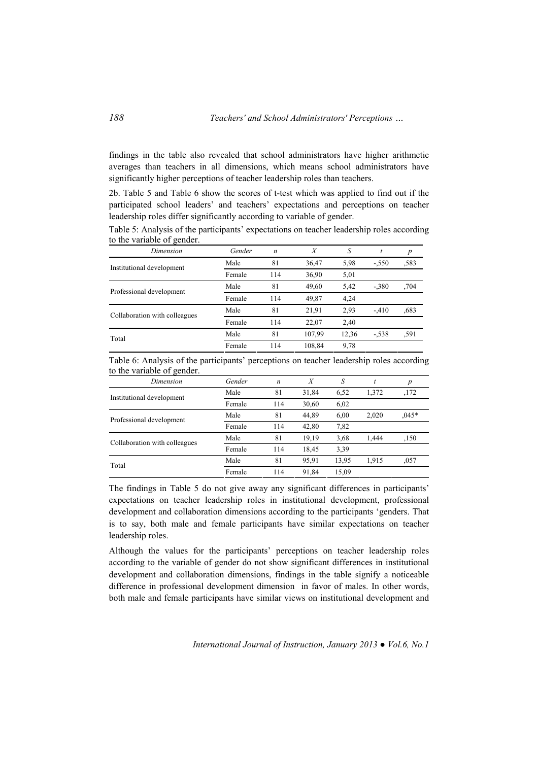findings in the table also revealed that school administrators have higher arithmetic averages than teachers in all dimensions, which means school administrators have significantly higher perceptions of teacher leadership roles than teachers.

2b. Table 5 and Table 6 show the scores of t-test which was applied to find out if the participated school leaders' and teachers' expectations and perceptions on teacher leadership roles differ significantly according to variable of gender.

| Dimension                     | Gender | $\boldsymbol{n}$ | X      | S     |         |      |
|-------------------------------|--------|------------------|--------|-------|---------|------|
| Institutional development     | Male   | 81               | 36,47  | 5.98  | $-.550$ | .583 |
|                               | Female | 114              | 36,90  | 5,01  |         |      |
| Professional development      | Male   | 81               | 49,60  | 5,42  | $-.380$ | .704 |
|                               | Female | 114              | 49,87  | 4,24  |         |      |
| Collaboration with colleagues | Male   | 81               | 21,91  | 2,93  | $-410$  | .683 |
|                               | Female | 114              | 22,07  | 2,40  |         |      |
| Total                         | Male   | 81               | 107.99 | 12,36 | $-.538$ | ,591 |
|                               | Female | 114              | 108,84 | 9.78  |         |      |

Table 5: Analysis of the participants' expectations on teacher leadership roles according to the variable of gender.

Table 6: Analysis of the participants' perceptions on teacher leadership roles according to the variable of gender.

| Dimension                     | Gender | $\boldsymbol{n}$ | X     | S     |       | p        |
|-------------------------------|--------|------------------|-------|-------|-------|----------|
| Institutional development     | Male   | 81               | 31,84 | 6,52  | 1,372 | ,172     |
|                               | Female | 114              | 30,60 | 6,02  |       |          |
| Professional development      | Male   | 81               | 44,89 | 6,00  | 2,020 | $0.045*$ |
|                               | Female | 114              | 42,80 | 7,82  |       |          |
| Collaboration with colleagues | Male   | 81               | 19.19 | 3.68  | 1.444 | ,150     |
|                               | Female | 114              | 18,45 | 3.39  |       |          |
| Total                         | Male   | 81               | 95,91 | 13,95 | 1.915 | ,057     |
|                               | Female | 114              | 91,84 | 15,09 |       |          |
|                               |        |                  |       |       |       |          |

The findings in Table 5 do not give away any significant differences in participants' expectations on teacher leadership roles in institutional development, professional development and collaboration dimensions according to the participants 'genders. That is to say, both male and female participants have similar expectations on teacher leadership roles.

Although the values for the participants' perceptions on teacher leadership roles according to the variable of gender do not show significant differences in institutional development and collaboration dimensions, findings in the table signify a noticeable difference in professional development dimension in favor of males. In other words, both male and female participants have similar views on institutional development and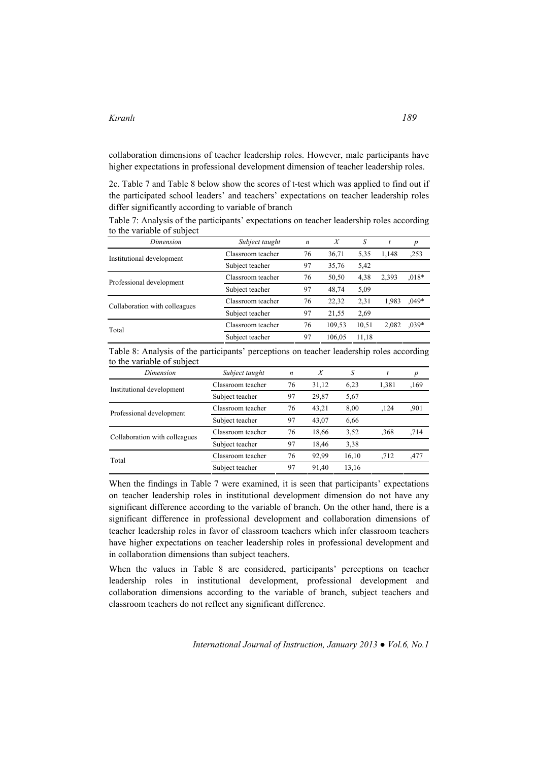collaboration dimensions of teacher leadership roles. However, male participants have higher expectations in professional development dimension of teacher leadership roles.

2c. Table 7 and Table 8 below show the scores of t-test which was applied to find out if the participated school leaders' and teachers' expectations on teacher leadership roles differ significantly according to variable of branch

| Dimension                     | Subject taught    | $\boldsymbol{n}$ | $\boldsymbol{X}$ | S     |       | $\boldsymbol{p}$ |
|-------------------------------|-------------------|------------------|------------------|-------|-------|------------------|
| Institutional development     | Classroom teacher | 76               | 36,71            | 5,35  | 1,148 | ,253             |
|                               | Subject teacher   | 97               | 35,76            | 5,42  |       |                  |
| Professional development      | Classroom teacher | 76               | 50,50            | 4,38  | 2,393 | $0.018*$         |
|                               | Subject teacher   | 97               | 48,74            | 5,09  |       |                  |
| Collaboration with colleagues | Classroom teacher | 76               | 22,32            | 2,31  | 1.983 | $.049*$          |
|                               | Subject teacher   | 97               | 21,55            | 2.69  |       |                  |
| Total                         | Classroom teacher | 76               | 109,53           | 10.51 | 2,082 | $0.039*$         |
|                               | Subject teacher   | 97               | 106.05           | 11,18 |       |                  |

| Table 7: Analysis of the participants' expectations on teacher leadership roles according |  |
|-------------------------------------------------------------------------------------------|--|
| to the variable of subject                                                                |  |

Table 8: Analysis of the participants' perceptions on teacher leadership roles according to the variable of subject

| Dimension                     | Subject taught    | $\boldsymbol{n}$ | X     | S     |       | $\boldsymbol{p}$ |
|-------------------------------|-------------------|------------------|-------|-------|-------|------------------|
| Institutional development     | Classroom teacher | 76               | 31,12 | 6,23  | 1,381 | ,169             |
|                               | Subject teacher   | 97               | 29,87 | 5.67  |       |                  |
| Professional development      | Classroom teacher | 76               | 43,21 | 8,00  | ,124  | .901             |
|                               | Subject teacher   | 97               | 43,07 | 6,66  |       |                  |
| Collaboration with colleagues | Classroom teacher | 76               | 18,66 | 3.52  | .368  | .714             |
|                               | Subject teacher   | 97               | 18,46 | 3.38  |       |                  |
| Total                         | Classroom teacher | 76               | 92,99 | 16,10 | .712  | ,477             |
|                               | Subject teacher   | 97               | 91.40 | 13,16 |       |                  |

When the findings in Table 7 were examined, it is seen that participants' expectations on teacher leadership roles in institutional development dimension do not have any significant difference according to the variable of branch. On the other hand, there is a significant difference in professional development and collaboration dimensions of teacher leadership roles in favor of classroom teachers which infer classroom teachers have higher expectations on teacher leadership roles in professional development and in collaboration dimensions than subject teachers.

When the values in Table 8 are considered, participants' perceptions on teacher leadership roles in institutional development, professional development and collaboration dimensions according to the variable of branch, subject teachers and classroom teachers do not reflect any significant difference.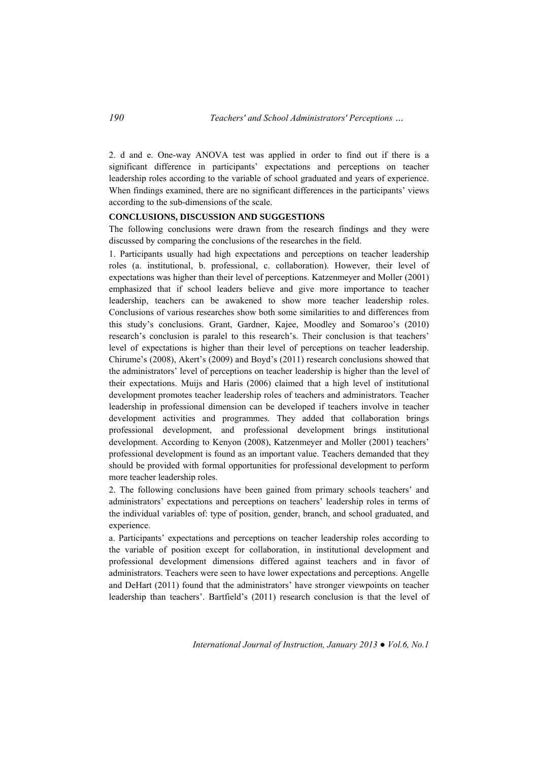2. d and e. One-way ANOVA test was applied in order to find out if there is a significant difference in participants' expectations and perceptions on teacher leadership roles according to the variable of school graduated and years of experience. When findings examined, there are no significant differences in the participants' views according to the sub-dimensions of the scale.

#### **CONCLUSIONS, DISCUSSION AND SUGGESTIONS**

The following conclusions were drawn from the research findings and they were discussed by comparing the conclusions of the researches in the field.

1. Participants usually had high expectations and perceptions on teacher leadership roles (a. institutional, b. professional, c. collaboration). However, their level of expectations was higher than their level of perceptions. Katzenmeyer and Moller (2001) emphasized that if school leaders believe and give more importance to teacher leadership, teachers can be awakened to show more teacher leadership roles. Conclusions of various researches show both some similarities to and differences from this study's conclusions. Grant, Gardner, Kajee, Moodley and Somaroo's (2010) research's conclusion is paralel to this research's. Their conclusion is that teachers' level of expectations is higher than their level of perceptions on teacher leadership. Chirume's (2008), Akert's (2009) and Boyd's (2011) research conclusions showed that the administrators' level of perceptions on teacher leadership is higher than the level of their expectations. Muijs and Haris (2006) claimed that a high level of institutional development promotes teacher leadership roles of teachers and administrators. Teacher leadership in professional dimension can be developed if teachers involve in teacher development activities and programmes. They added that collaboration brings professional development, and professional development brings institutional development. According to Kenyon (2008), Katzenmeyer and Moller (2001) teachers' professional development is found as an important value. Teachers demanded that they should be provided with formal opportunities for professional development to perform more teacher leadership roles.

2. The following conclusions have been gained from primary schools teachers' and administrators' expectations and perceptions on teachers' leadership roles in terms of the individual variables of: type of position, gender, branch, and school graduated, and experience.

a. Participants' expectations and perceptions on teacher leadership roles according to the variable of position except for collaboration, in institutional development and professional development dimensions differed against teachers and in favor of administrators. Teachers were seen to have lower expectations and perceptions. Angelle and DeHart (2011) found that the administrators' have stronger viewpoints on teacher leadership than teachers'. Bartfield's (2011) research conclusion is that the level of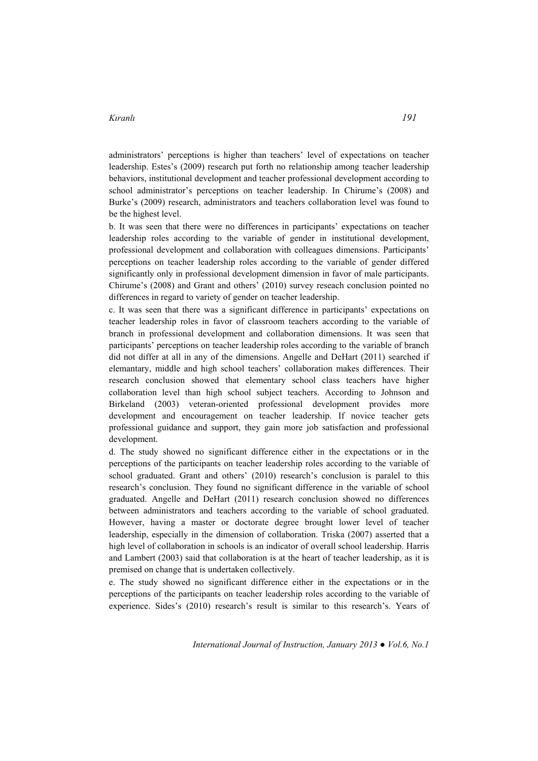administrators' perceptions is higher than teachers' level of expectations on teacher leadership. Estes's (2009) research put forth no relationship among teacher leadership behaviors, institutional development and teacher professional development according to school administrator's perceptions on teacher leadership. In Chirume's (2008) and Burke's (2009) research, administrators and teachers collaboration level was found to be the highest level.

b. It was seen that there were no differences in participants' expectations on teacher leadership roles according to the variable of gender in institutional development, professional development and collaboration with colleagues dimensions. Participants' perceptions on teacher leadership roles according to the variable of gender differed significantly only in professional development dimension in favor of male participants. Chirume's (2008) and Grant and others' (2010) survey reseach conclusion pointed no differences in regard to variety of gender on teacher leadership.

c. It was seen that there was a significant difference in participants' expectations on teacher leadership roles in favor of classroom teachers according to the variable of branch in professional development and collaboration dimensions. It was seen that participants' perceptions on teacher leadership roles according to the variable of branch did not differ at all in any of the dimensions. Angelle and DeHart (2011) searched if elemantary, middle and high school teachers' collaboration makes differences. Their research conclusion showed that elementary school class teachers have higher collaboration level than high school subject teachers. According to Johnson and Birkeland (2003) veteran-oriented professional development provides more development and encouragement on teacher leadership. If novice teacher gets professional guidance and support, they gain more job satisfaction and professional development.

d. The study showed no significant difference either in the expectations or in the perceptions of the participants on teacher leadership roles according to the variable of school graduated. Grant and others' (2010) research's conclusion is paralel to this research's conclusion. They found no significant difference in the variable of school graduated. Angelle and DeHart (2011) research conclusion showed no differences between administrators and teachers according to the variable of school graduated. However, having a master or doctorate degree brought lower level of teacher leadership, especially in the dimension of collaboration. Triska (2007) asserted that a high level of collaboration in schools is an indicator of overall school leadership. Harris and Lambert (2003) said that collaboration is at the heart of teacher leadership, as it is premised on change that is undertaken collectively.

e. The study showed no significant difference either in the expectations or in the perceptions of the participants on teacher leadership roles according to the variable of experience. Sides's (2010) research's result is similar to this research's. Years of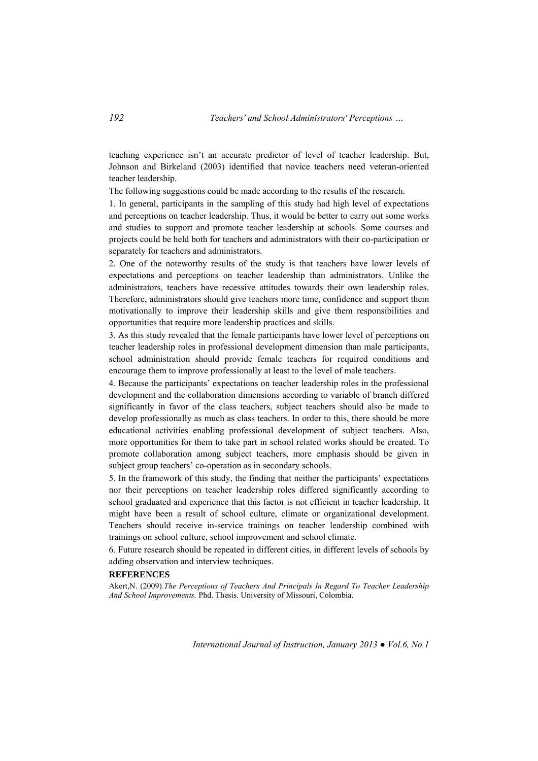teaching experience isn't an accurate predictor of level of teacher leadership. But, Johnson and Birkeland (2003) identified that novice teachers need veteran-oriented teacher leadership.

The following suggestions could be made according to the results of the research.

1. In general, participants in the sampling of this study had high level of expectations and perceptions on teacher leadership. Thus, it would be better to carry out some works and studies to support and promote teacher leadership at schools. Some courses and projects could be held both for teachers and administrators with their co-participation or separately for teachers and administrators.

2. One of the noteworthy results of the study is that teachers have lower levels of expectations and perceptions on teacher leadership than administrators. Unlike the administrators, teachers have recessive attitudes towards their own leadership roles. Therefore, administrators should give teachers more time, confidence and support them motivationally to improve their leadership skills and give them responsibilities and opportunities that require more leadership practices and skills.

3. As this study revealed that the female participants have lower level of perceptions on teacher leadership roles in professional development dimension than male participants, school administration should provide female teachers for required conditions and encourage them to improve professionally at least to the level of male teachers.

4. Because the participants' expectations on teacher leadership roles in the professional development and the collaboration dimensions according to variable of branch differed significantly in favor of the class teachers, subject teachers should also be made to develop professionally as much as class teachers. In order to this, there should be more educational activities enabling professional development of subject teachers. Also, more opportunities for them to take part in school related works should be created. To promote collaboration among subject teachers, more emphasis should be given in subject group teachers' co-operation as in secondary schools.

5. In the framework of this study, the finding that neither the participants' expectations nor their perceptions on teacher leadership roles differed significantly according to school graduated and experience that this factor is not efficient in teacher leadership. It might have been a result of school culture, climate or organizational development. Teachers should receive in-service trainings on teacher leadership combined with trainings on school culture, school improvement and school climate.

6. Future research should be repeated in different cities, in different levels of schools by adding observation and interview techniques.

### **REFERENCES**

Akert,N. (2009).*The Perceptions of Teachers And Principals In Regard To Teacher Leadership And School Improvements.* Phd. Thesis. University of Missouri, Colombia.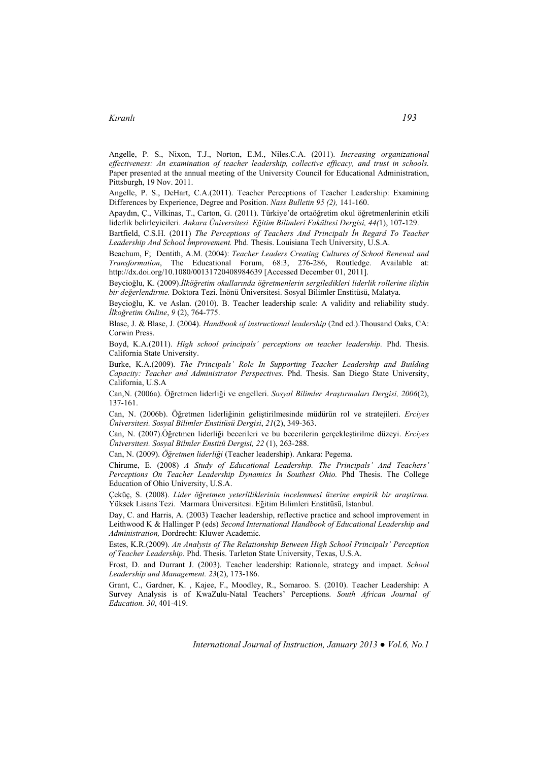Angelle, P. S., Nixon, T.J., Norton, E.M., Niles.C.A. (2011). *Increasing organizational effectiveness: An examination of teacher leadership, collective efficacy, and trust in schools.* Paper presented at the annual meeting of the University Council for Educational Administration, Pittsburgh, 19 Nov. 2011.

Angelle, P. S., DeHart, C.A.(2011). Teacher Perceptions of Teacher Leadership: Examining Differences by Experience, Degree and Position. *Nass Bulletin 95 (2),* 141-160.

Apaydın, Ç., Vilkinas, T., Carton, G. (2011). Türkiye'de ortaöğretim okul öğretmenlerinin etkili liderlik belirleyicileri. *Ankara Üniversitesi. Eğitim Bilimleri Fakültesi Dergisi, 44(*1), 107-129.

Bartfield, C.S.H. (2011) *The Perceptions of Teachers And Principals İn Regard To Teacher Leadership And School İmprovement.* Phd. Thesis. Louisiana Tech University, U.S.A.

Beachum, F; Dentith, A.M. (2004): *Teacher Leaders Creating Cultures of School Renewal and Transformation*, The Educational Forum, 68:3, 276-286, Routledge. Available at: http://dx.doi.org/10.1080/00131720408984639 [Accessed December 01, 2011].

Beycioğlu, K. (2009).*İlköğretim okullarında öğretmenlerin sergiledikleri liderlik rollerine ilişkin bir değerlendirme.* Doktora Tezi. İnönü Üniversitesi. Sosyal Bilimler Enstitüsü, Malatya.

Beycioğlu, K. ve Aslan. (2010). B. Teacher leadership scale: A validity and reliability study. *İlkoğretim Online*, *9* (2), 764-775.

Blase, J. & Blase, J. (2004). *Handbook of instructional leadership* (2nd ed.).Thousand Oaks, CA: Corwin Press.

Boyd, K.A.(2011). *High school principals' perceptions on teacher leadership.* Phd. Thesis. California State University.

Burke, K.A.(2009). *The Principals' Role In Supporting Teacher Leadership and Building Capacity: Teacher and Administrator Perspectives.* Phd. Thesis. San Diego State University, California, U.S.A

Can,N. (2006a). Öğretmen liderliği ve engelleri. *Sosyal Bilimler Araştırmaları Dergisi, 2006*(2), 137-161.

Can, N. (2006b). Öğretmen liderliğinin geliştirilmesinde müdürün rol ve stratejileri. *Erciyes Üniversitesi. Sosyal Bilimler Enstitüsü Dergisi*, *21*(2), 349-363.

Can, N. (2007).Öğretmen liderliği becerileri ve bu becerilerin gerçekleştirilme düzeyi. *Erciyes Üniversitesi. Sosyal Bilmler Enstitü Dergisi, 22* (1), 263-288.

Can, N. (2009). *Öğretmen liderliği* (Teacher leadership). Ankara: Pegema.

Chirume, E. (2008) *A Study of Educational Leadership. The Principals' And Teachers' Perceptions On Teacher Leadership Dynamics In Southest Ohio.* Phd Thesis. The College Education of Ohio University, U.S.A.

Çeküç, S. (2008). *Lider öğretmen yeterliliklerinin incelenmesi üzerine empirik bir araştirma.* Yüksek Lisans Tezi. Marmara Üniversitesi. Eğitim Bilimleri Enstitüsü, İstanbul.

Day, C. and Harris, A. (2003) Teacher leadership, reflective practice and school improvement in Leithwood K & Hallinger P (eds) *Second International Handbook of Educational Leadership and Administration,* Dordrecht: Kluwer Academic*.* 

Estes, K.R.(2009). *An Analysis of The Relationship Between High School Principals' Perception of Teacher Leadership.* Phd. Thesis. Tarleton State University, Texas, U.S.A.

Frost, D. and Durrant J. (2003). Teacher leadership: Rationale, strategy and impact. *School Leadership and Management. 23*(2), 173-186.

Grant, C., Gardner, K. , Kajee, F., Moodley, R., Somaroo. S. (2010). Teacher Leadership: A Survey Analysis is of KwaZulu-Natal Teachers' Perceptions. *South African Journal of Education. 30*, 401-419.